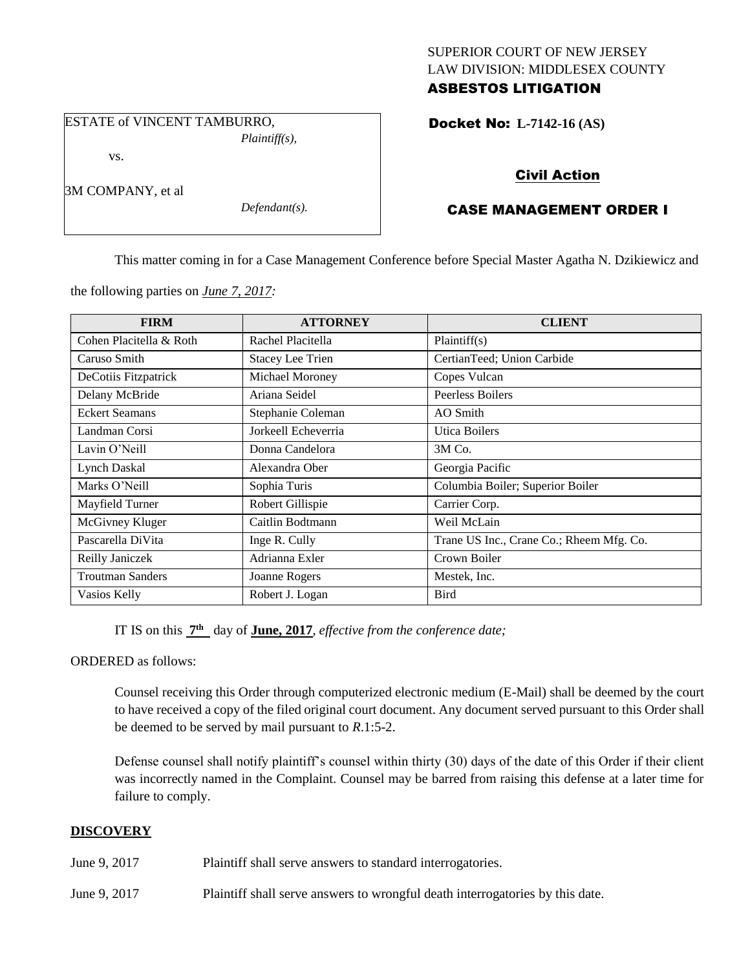## SUPERIOR COURT OF NEW JERSEY LAW DIVISION: MIDDLESEX COUNTY ASBESTOS LITIGATION

ESTATE of VINCENT TAMBURRO, *Plaintiff(s),*

vs.

3M COMPANY, et al

*Defendant(s).*

Docket No: **L-7142-16 (AS)** 

# Civil Action

# CASE MANAGEMENT ORDER I

This matter coming in for a Case Management Conference before Special Master Agatha N. Dzikiewicz and

the following parties on *June 7, 2017:*

| <b>FIRM</b>             | <b>ATTORNEY</b>         | <b>CLIENT</b>                            |
|-------------------------|-------------------------|------------------------------------------|
| Cohen Placitella & Roth | Rachel Placitella       | Plaintiff(s)                             |
| Caruso Smith            | <b>Stacey Lee Trien</b> | CertianTeed; Union Carbide               |
| DeCotiis Fitzpatrick    | Michael Moroney         | Copes Vulcan                             |
| Delany McBride          | Ariana Seidel           | Peerless Boilers                         |
| <b>Eckert Seamans</b>   | Stephanie Coleman       | AO Smith                                 |
| Landman Corsi           | Jorkeell Echeverria     | <b>Utica Boilers</b>                     |
| Lavin O'Neill           | Donna Candelora         | 3M Co.                                   |
| Lynch Daskal            | Alexandra Ober          | Georgia Pacific                          |
| Marks O'Neill           | Sophia Turis            | Columbia Boiler; Superior Boiler         |
| Mayfield Turner         | Robert Gillispie        | Carrier Corp.                            |
| McGivney Kluger         | Caitlin Bodtmann        | Weil McLain                              |
| Pascarella DiVita       | Inge R. Cully           | Trane US Inc., Crane Co.; Rheem Mfg. Co. |
| Reilly Janiczek         | Adrianna Exler          | Crown Boiler                             |
| <b>Troutman Sanders</b> | Joanne Rogers           | Mestek, Inc.                             |
| Vasios Kelly            | Robert J. Logan         | <b>Bird</b>                              |

IT IS on this  $7<sup>th</sup>$  day of **June, 2017**, *effective from the conference date*;

ORDERED as follows:

Counsel receiving this Order through computerized electronic medium (E-Mail) shall be deemed by the court to have received a copy of the filed original court document. Any document served pursuant to this Order shall be deemed to be served by mail pursuant to *R*.1:5-2.

Defense counsel shall notify plaintiff's counsel within thirty (30) days of the date of this Order if their client was incorrectly named in the Complaint. Counsel may be barred from raising this defense at a later time for failure to comply.

## **DISCOVERY**

June 9, 2017 Plaintiff shall serve answers to standard interrogatories.

June 9, 2017 Plaintiff shall serve answers to wrongful death interrogatories by this date.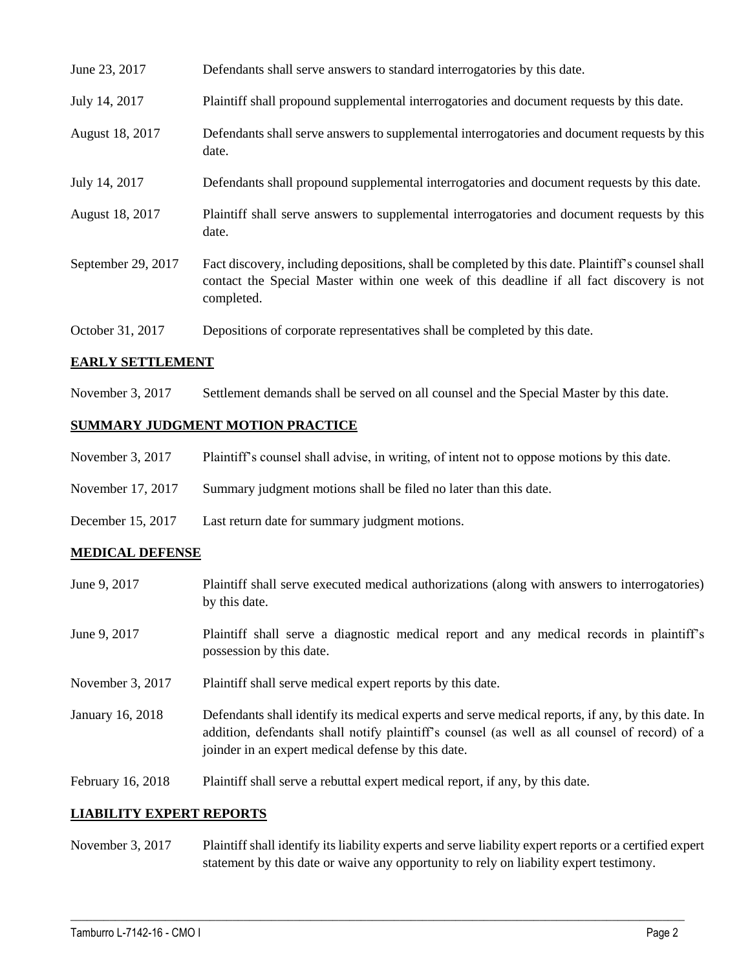| June 23, 2017      | Defendants shall serve answers to standard interrogatories by this date.                                                                                                                                    |
|--------------------|-------------------------------------------------------------------------------------------------------------------------------------------------------------------------------------------------------------|
| July 14, 2017      | Plaintiff shall propound supplemental interrogatories and document requests by this date.                                                                                                                   |
| August 18, 2017    | Defendants shall serve answers to supplemental interrogatories and document requests by this<br>date.                                                                                                       |
| July 14, 2017      | Defendants shall propound supplemental interrogatories and document requests by this date.                                                                                                                  |
| August 18, 2017    | Plaintiff shall serve answers to supplemental interrogatories and document requests by this<br>date.                                                                                                        |
| September 29, 2017 | Fact discovery, including depositions, shall be completed by this date. Plaintiff's counsel shall<br>contact the Special Master within one week of this deadline if all fact discovery is not<br>completed. |
| October 31, 2017   | Depositions of corporate representatives shall be completed by this date.                                                                                                                                   |

## **EARLY SETTLEMENT**

November 3, 2017 Settlement demands shall be served on all counsel and the Special Master by this date.

## **SUMMARY JUDGMENT MOTION PRACTICE**

| Plaintiff's counsel shall advise, in writing, of intent not to oppose motions by this date. |
|---------------------------------------------------------------------------------------------|
|---------------------------------------------------------------------------------------------|

- November 17, 2017 Summary judgment motions shall be filed no later than this date.
- December 15, 2017 Last return date for summary judgment motions.

### **MEDICAL DEFENSE**

| June 9, 2017      | Plaintiff shall serve executed medical authorizations (along with answers to interrogatories)<br>by this date.                                                                                                                                           |
|-------------------|----------------------------------------------------------------------------------------------------------------------------------------------------------------------------------------------------------------------------------------------------------|
| June 9, 2017      | Plaintiff shall serve a diagnostic medical report and any medical records in plaintiff's<br>possession by this date.                                                                                                                                     |
| November 3, 2017  | Plaintiff shall serve medical expert reports by this date.                                                                                                                                                                                               |
| January 16, 2018  | Defendants shall identify its medical experts and serve medical reports, if any, by this date. In<br>addition, defendants shall notify plaintiff's counsel (as well as all counsel of record) of a<br>joinder in an expert medical defense by this date. |
| February 16, 2018 | Plaintiff shall serve a rebuttal expert medical report, if any, by this date.                                                                                                                                                                            |

#### **LIABILITY EXPERT REPORTS**

November 3, 2017 Plaintiff shall identify its liability experts and serve liability expert reports or a certified expert statement by this date or waive any opportunity to rely on liability expert testimony.

 $\_$  ,  $\_$  ,  $\_$  ,  $\_$  ,  $\_$  ,  $\_$  ,  $\_$  ,  $\_$  ,  $\_$  ,  $\_$  ,  $\_$  ,  $\_$  ,  $\_$  ,  $\_$  ,  $\_$  ,  $\_$  ,  $\_$  ,  $\_$  ,  $\_$  ,  $\_$  ,  $\_$  ,  $\_$  ,  $\_$  ,  $\_$  ,  $\_$  ,  $\_$  ,  $\_$  ,  $\_$  ,  $\_$  ,  $\_$  ,  $\_$  ,  $\_$  ,  $\_$  ,  $\_$  ,  $\_$  ,  $\_$  ,  $\_$  ,